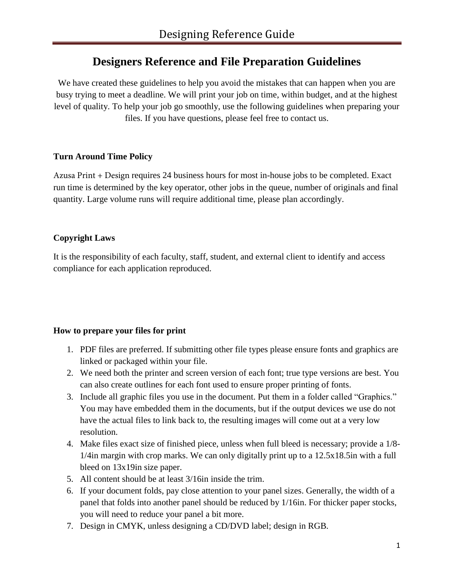# **Designers Reference and File Preparation Guidelines**

We have created these guidelines to help you avoid the mistakes that can happen when you are busy trying to meet a deadline. We will print your job on time, within budget, and at the highest level of quality. To help your job go smoothly, use the following guidelines when preparing your files. If you have questions, please feel free to contact us.

## **Turn Around Time Policy**

Azusa Print + Design requires 24 business hours for most in-house jobs to be completed. Exact run time is determined by the key operator, other jobs in the queue, number of originals and final quantity. Large volume runs will require additional time, please plan accordingly.

### **Copyright Laws**

It is the responsibility of each faculty, staff, student, and external client to identify and access compliance for each application reproduced.

#### **How to prepare your files for print**

- 1. PDF files are preferred. If submitting other file types please ensure fonts and graphics are linked or packaged within your file.
- 2. We need both the printer and screen version of each font; true type versions are best. You can also create outlines for each font used to ensure proper printing of fonts.
- 3. Include all graphic files you use in the document. Put them in a folder called "Graphics." You may have embedded them in the documents, but if the output devices we use do not have the actual files to link back to, the resulting images will come out at a very low resolution.
- 4. Make files exact size of finished piece, unless when full bleed is necessary; provide a 1/8- 1/4in margin with crop marks. We can only digitally print up to a 12.5x18.5in with a full bleed on 13x19in size paper.
- 5. All content should be at least 3/16in inside the trim.
- 6. If your document folds, pay close attention to your panel sizes. Generally, the width of a panel that folds into another panel should be reduced by 1/16in. For thicker paper stocks, you will need to reduce your panel a bit more.
- 7. Design in CMYK, unless designing a CD/DVD label; design in RGB.